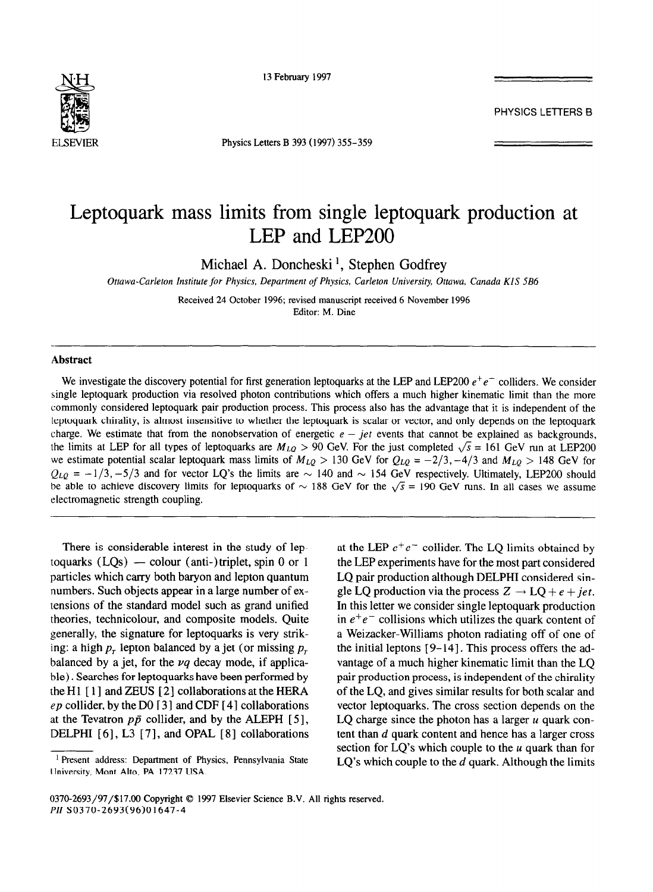

13 February 1997

PHYSICS LETTERS B

ELSEWIER Physics Letters B 393 (1997) 355-359

## Leptoquark mass limits from single leptoquark production at LEP and LEP200

Michael A. Doncheski ', Stephen Godfrey

*Ottawa-Carleton Institute for Physics, Department of Physics, Carleton University Ottawa, Canada KlS SB6* 

Received 24 October 1996; revised manuscript received 6 November 1996 Editor: M. Dine

## **Abstract**

We investigate the discovery potential for first generation leptoquarks at the LEP and LEP200  $e^+e^-$  colliders. We consider single leptoquark production via resolved photon contributions which offers a much higher kinematic limit than the more commonly considered leptoquark pair production process. This process also has the advantage that it is independent of the leptoquark chirality, is almost insensitive to whether the leptoquark is scalar or vector, and only depends on the leptoquark charge. We estimate that from the nonobservation of energetic  $e - jet$  events that cannot be explained as backgrounds, the limits at LEP for all types of leptoquarks are  $M_{LQ} > 90$  GeV. For the just completed  $\sqrt{s} = 161$  GeV run at LEP200 we estimate potential scalar leptoquark mass limits of  $M_{LQ} > 130$  GeV for  $Q_{LQ} = -2/3, -4/3$  and  $M_{LQ} > 148$  GeV for  $Q_{LQ} = -1/3, -5/3$  and for vector LQ's the limits are  $\sim 140$  and  $\sim 154$  GeV respectively. Ultimately, LEP200 should be able to achieve discovery limits for leptoquarks of  $\sim 188$  GeV for the  $\sqrt{s} = 190$  GeV runs. In all cases we assume electromagnetic strength coupling.

There is considerable interest in the study of leptoquarks  $(LOs)$  — colour (anti-)triplet, spin 0 or 1 particles which carry both baryon and lepton quantum numbers. Such objects appear in a large number of extensions of the standard model such as grand unified theories, technicolour, and composite models. Quite generally, the signature for leptoquarks is very striking: a high  $p<sub>r</sub>$  lepton balanced by a jet (or missing  $p<sub>r</sub>$ balanced by a jet, for the *vq* decay mode, if applicable) . Searches for leptoquarks have been performed by the H $1$  [ $1$ ] and ZEUS [ $2$ ] collaborations at the HERA *ep* collider, by the DO [ 3 ] and CDF [ 41 collaborations at the Tevatron  $p\bar{p}$  collider, and by the ALEPH [5], DELPHI [6], L3 [7], and OPAL [8] collaborations at the LEP  $e^+e^-$  collider. The LQ limits obtained by the LEP experiments have for the most part considered LQ pair production although DELPHI considered single LQ production via the process  $Z \rightarrow LQ + e + jet$ . In this letter we consider single leptoquark production in  $e^+e^-$  collisions which utilizes the quark content of a Weizacker-Williams photon radiating off of one of the initial leptons [ 9-141. This process offers the advantage of a much higher kinematic limit than the LQ pair production process, is independent of the chirality of the LQ, and gives similar results for both scalar and vector leptoquarks. The cross section depends on the LQ charge since the photon has a larger  $u$  quark content than d quark content and hence has a larger cross section for  $LQ$ 's which couple to the  $u$  quark than for LQ's which couple to the *d* quark. Although the limits

<sup>&</sup>lt;sup>1</sup> Present address: Department of Physics, Pennsylvania State University, Mont Alto, PA 17237 USA.

<sup>0370-2693/97/\$17.00</sup> Copyright © 1997 Elsevier Science B.V. All rights reserved. *PII* SO370-2693(96)01647-4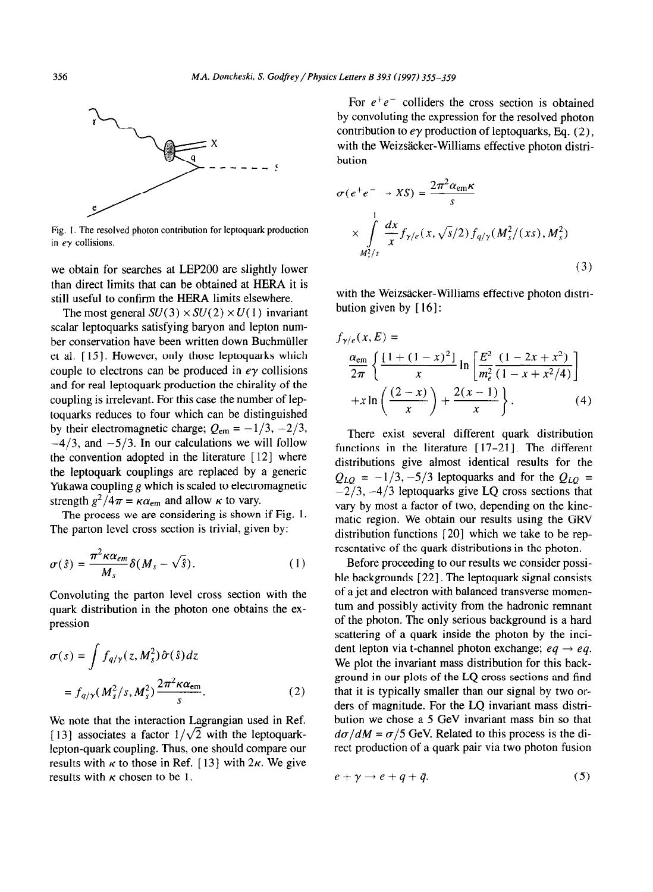

Fig. I. The resolved photon contribution for leptoquark production in  $e\gamma$  collisions.

we obtain for searches at LEP200 are slightly lower than direct limits that can be obtained at HERA it is still useful to confirm the HERA limits elsewhere.

The most general  $SU(3) \times SU(2) \times U(1)$  invariant scalar leptoquarks satisfying baryon and lepton number conservation have been written down Buchmüller et al. [ 151. However, only those leptoquarks which couple to electrons can be produced in  $e\gamma$  collisions and for real leptoquark production the chirality of the coupling is irrelevant. For this case the number of leptoquarks reduces to four which can be distinguished by their electromagnetic charge;  $Q_{\text{em}} = -1/3, -2/3$ ,  $-4/3$ , and  $-5/3$ . In our calculations we will follow the convention adopted in the literature [12] where the leptoquark couplings are replaced by a generic Yukawa coupling g which is scaled to electromagnetic strength  $g^2/4\pi = \kappa \alpha_{\rm em}$  and allow  $\kappa$  to vary.

The process we are considering is shown if Fig. 1. The parton level cross section is trivial, given by:

$$
\sigma(\hat{s}) = \frac{\pi^2 \kappa \alpha_{em}}{M_s} \delta(M_s - \sqrt{\hat{s}}). \tag{1}
$$

Convoluting the parton level cross section with the quark distribution in the photon one obtains the expression

$$
\sigma(s) = \int f_{q/\gamma}(z, M_s^2) \hat{\sigma}(\hat{s}) dz
$$

$$
= f_{q/\gamma}(M_s^2/s, M_s^2) \frac{2\pi^2 \kappa \alpha_{\text{em}}}{s}.
$$
 (2)

We note that the interaction Lagrangian used in Ref. [13] associates a factor  $1/\sqrt{2}$  with the leptoquarklepton-quark coupling. Thus, one should compare our results with  $\kappa$  to those in Ref. [13] with  $2\kappa$ . We give results with  $\kappa$  chosen to be 1.

For  $e^+e^-$  colliders the cross section is obtained by convoluting the expression for the resolved photon contribution to  $e\gamma$  production of leptoquarks, Eq. (2), with the Weizsäcker-Williams effective photon distribution

$$
\sigma(e^+e^- \to XS) = \frac{2\pi^2 \alpha_{\rm em} \kappa}{s}
$$

$$
\times \int_{M_s^2/s}^1 \frac{dx}{x} f_{\gamma/e}(x, \sqrt{s}/2) f_{q/\gamma}(M_s^2/(xs), M_s^2)
$$
(3)

with the Weizsacker-Williams effective photon distribution given by  $[16]$ :

$$
f_{\gamma/e}(x, E) =
$$
  
\n
$$
\frac{\alpha_{\text{em}}}{2\pi} \left\{ \frac{[1 + (1 - x)^2]}{x} \ln \left[ \frac{E^2}{m_e^2} \frac{(1 - 2x + x^2)}{(1 - x + x^2/4)} \right] + x \ln \left( \frac{(2 - x)}{x} \right) + \frac{2(x - 1)}{x} \right\}.
$$
 (4)

There exist several different quark distribution functions in the literature  $[17-21]$ . The different distributions give almost identical results for the  $Q_{LQ} = -1/3, -5/3$  leptoquarks and for the  $Q_{LQ}$  =  $-2/3$ ,  $-4/3$  leptoquarks give LQ cross sections that vary by most a factor of two, depending on the kinematic region. We obtain our results using the GRV distribution functions  $[20]$  which we take to be representative of the quark distributions in the photon.

Before proceeding to our results we consider possible backgrounds [ 221. The leptoquark signal consists of a jet and electron with balanced transverse momentum and possibly activity from the hadronic remnant of the photon. The only serious background is a hard scattering of a quark inside the photon by the incident lepton via t-channel photon exchange;  $eq \rightarrow eq$ . We plot the invariant mass distribution for this background in our plots of the LQ cross sections and find that it is typically smaller than our signal by two orders of magnitude. For the LQ invariant mass distribution we chose a 5 GeV invariant mass bin so that  $d\sigma/dM = \sigma/5$  GeV. Related to this process is the direct production of a quark pair via two photon fusion

$$
e + \gamma \to e + q + \bar{q}.\tag{5}
$$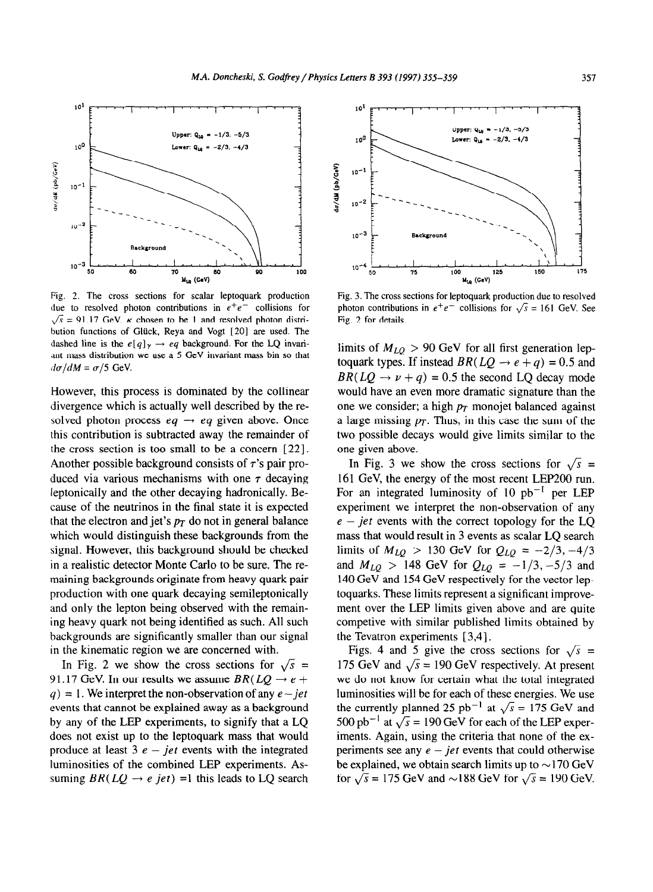

**Fig. 2.** The cross sections for scalar leptoquark production due to resolved photon contributions in  $e^+e^-$  collisions for  $\sqrt{s}$  = 91.17 GeV.  $\kappa$  chosen to be 1 and resolved photon distribution functions of Gliick, Reya and Vogt [20] are used. The dashed line is the  $e[q]_{\gamma} \rightarrow eq$  background. For the LQ invariant mass distribution we use a 5 GeV invariant mass bin so that  $d\sigma/dM = \sigma/5$  GeV.

However, this process is dominated by the collinear divergence which is actually well described by the resolved photon process  $eq \rightarrow eq$  given above. Once this contribution is subtracted away the remainder of the cross section is too small to be a concern [22]. Another possible background consists of  $\tau$ 's pair produced via various mechanisms with one  $\tau$  decaying leptonically and the other decaying hadronically. Because of the neutrinos in the final state it is expected that the electron and jet's  $p_T$  do not in general balance which would distinguish these backgrounds from the signal. However, this background should be checked in a realistic detector Monte Carlo to be sure. The remaining backgrounds originate from heavy quark pair production with one quark decaying semileptonically and only the lepton being observed with the remaining heavy quark not being identified as such. All such backgrounds are significantly smaller than our signal in the kinematic region we are concerned with.

In Fig. 2 we show the cross sections for  $\sqrt{s}$  = 91.17 GeV. In our results we assume  $BR(LQ \rightarrow e +$  $q$ ) = 1. We interpret the non-observation of any  $e$ -jet events that cannot be explained away as a background by any of the LEP experiments, to signify that a LQ does not exist up to the leptoquark mass that would produce at least  $3 e$  – *jet* events with the integrated luminosities of the combined LEP experiments. Assuming  $BR(LQ \rightarrow e \; jet) =1$  this leads to LQ search



Fig. 3. The cross sections for leptoquark production due to resolved photon contributions in  $e^+e^-$  collisions for  $\sqrt{s} = 161$  GeV. See Fig. 2 for details.

limits of  $M_{LQ} > 90$  GeV for all first generation leptoquark types. If instead  $BR(LQ \rightarrow e + q) = 0.5$  and  $BR(LO \rightarrow \nu + q) = 0.5$  the second LO decay mode would have an even more dramatic signature than the one we consider; a high  $p_T$  monojet balanced against a large missing  $p<sub>T</sub>$ . Thus, in this case the sum of the two possible decays would give limits similar to the one given above.

In Fig. 3 we show the cross sections for  $\sqrt{s}$  = 161 GeV, the energy of the most recent LEP200 run. For an integrated luminosity of 10  $pb^{-1}$  per LEP experiment we interpret the non-observation of any  $e$  – *jet* events with the correct topology for the LQ mass that would result in 3 events as scalar LQ search limits of  $M_{LQ} > 130$  GeV for  $Q_{LQ} = -2/3, -4/3$ and  $M_{LQ} > 148$  GeV for  $Q_{LQ} = -1/3, -5/3$  and 140 GeV and 154 GeV respectively for the vector leptoquarks. These limits represent a significant improvement over the LEP limits given above and are quite competive with similar published limits obtained by the Tevatron experiments [ 3,4].

Figs. 4 and 5 give the cross sections for  $\sqrt{s}$  = 175 GeV and  $\sqrt{s}$  = 190 GeV respectively. At present we do not know for certain what the total integrated luminosities will be for each of these energies. We use the currently planned 25 pb<sup>-1</sup> at  $\sqrt{s} = 175$  GeV and 500 pb<sup>-1</sup> at  $\sqrt{s}$  = 190 GeV for each of the LEP experiments. Again, using the criteria that none of the experiments see any  $e - jet$  events that could otherwise be explained, we obtain search limits up to  $\sim$ 170 GeV for  $\sqrt{s}$  = 175 GeV and  $\sim$ 188 GeV for  $\sqrt{s}$  = 190 GeV.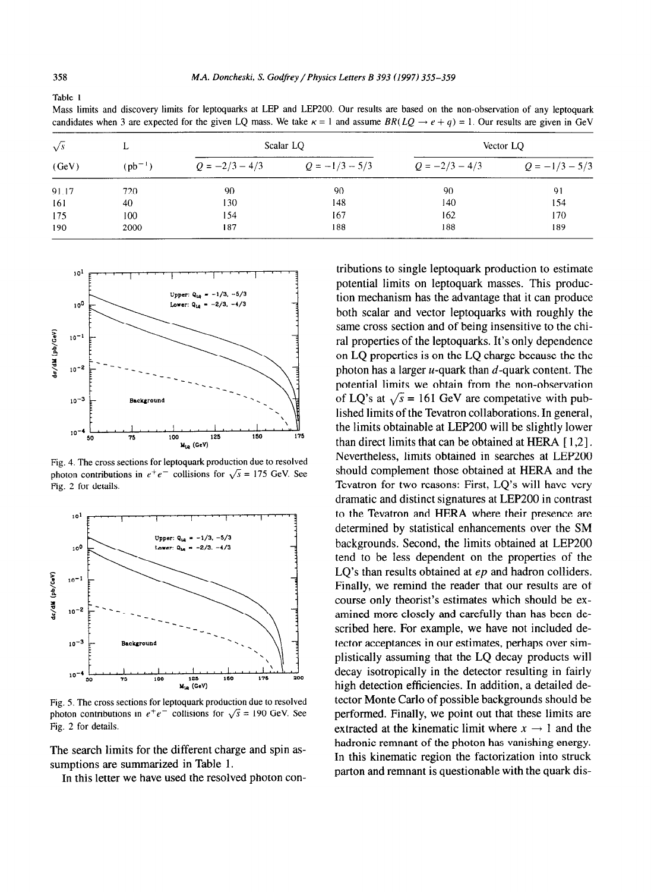Table 1

Mass limits and discovery limits for leptoquarks at LEP and LEPZOO. Our results are based on the non-observation of any leptoquark candidates when 3 are expected for the given LQ mass. We take  $\kappa = 1$  and assume  $BR(LQ \rightarrow e + q) = 1$ . Our results are given in GeV

| $\sqrt{s}$<br>(GeV) | ┻<br>$(ph^{-1})$ | Scalar LQ        |                  | Vector LQ        |                  |
|---------------------|------------------|------------------|------------------|------------------|------------------|
|                     |                  | $Q = -2/3 - 4/3$ | $Q = -1/3 - 5/3$ | $Q = -2/3 - 4/3$ | $Q = -1/3 - 5/3$ |
| 91.17               | 720              | 90               | 90               | 90               | 91               |
| 161                 | 40               | 130              | 148              | 140              | 154              |
| 175                 | 100              | 154              | 167              | 162              | 170              |
| 190                 | 2000             | 187              | 188              | 188              | 189              |



Fig, 4. The cross sections for leptoquark production due to resolved photon contributions in  $e^+e^-$  collisions for  $\sqrt{s}$  = 175 GeV. See Fig. 2 for details.



Fig. 5. The cross sections for leptoquark production due to resolved photon contributions in  $e^+e^-$  collisions for  $\sqrt{s} = 190$  GeV. See Fig. 2 for details.

The search limits for the different charge and spin assumptions are summarized in Table 1.

In this letter we have used the resolved photon con-

tributions to single leptoquark production to estimate potential limits on leptoquark masses. This production mechanism has the advantage that it can produce both scalar and vector leptoquarks with roughly the same cross section and of being insensitive to the chiral properties of the leptoquarks. It's only dependence on LQ properties is on the LQ charge because the the photon has a larger  $u$ -quark than  $d$ -quark content. The potential limits we obtain from the non-observation of LQ's at  $\sqrt{s}$  = 161 GeV are competative with published limits of the Tevatron collaborations. In general, the limits obtainable at LEP200 will be slightly lower than direct limits that can be obtained at HERA [ 1,2]. Nevertheless, limits obtained in searches at LEP200 should complement those obtained at HERA and the Tevatron for two reasons: First, LQ's will have very dramatic and distinct signatures at LEP200 in contrast to the Tevatron and HERA where their presence are determined by statistical enhancements over the SM backgrounds. Second, the limits obtained at LEP200 tend to be less dependent on the properties of the LO's than results obtained at *ep* and hadron colliders. Finally, we remind the reader that our results are of course only theorist's estimates which should be examined more closely and carefully than has been described here. For example, we have not included detector acceptances in our estimates, perhaps over simplistically assuming that the LQ decay products will decay isotropically in the detector resulting in fairly high detection efficiencies. In addition, a detailed detector Monte Carlo of possible backgrounds should be performed. Finally, we point out that these limits are extracted at the kinematic limit where  $x \rightarrow 1$  and the hadronic remnant of the photon has vanishing energy. In this kinematic region the factorization into struck parton and remnant is questionable with the quark dis